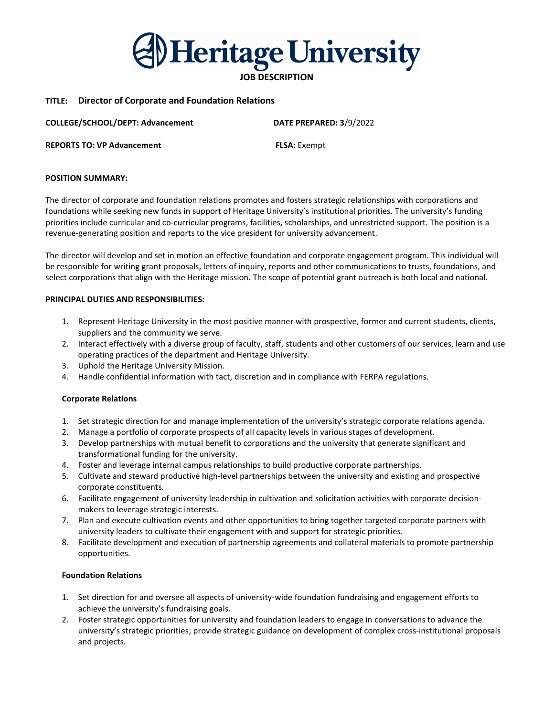Heritage University

# JOB DESCRIPTION

# TITLE: Director of Corporate and Foundation Relations

COLLEGE/SCHOOL/DEPT: Advancement DATE PREPARED: 3/9/2022 REPORTS TO: VP Advancement FLSA: Exempt

POSITION SUMMARY:

The director of corporate and foundation relations promotes and fosters strategic relationships with corporations and foundations while seeking new funds in support of Heritage University's institutional priorities. The university's funding priorities include curricular and co-curricular programs, facilities, scholarships, and unrestricted support. The position is a revenue-generating position and reports to the vice president for university advancement.

The director will develop and set in motion an effective foundation and corporate engagement program. This individual will be responsible for writing grant proposals, letters of inquiry, reports and other communications to trusts, foundations, and select corporations that align with the Heritage mission. The scope of potential grant outreach is both local and national.

#### PRINCIPAL DUTIES AND RESPONSIBILITIES:

- 1. Represent Heritage University in the most positive manner with prospective, former and current students, clients, suppliers and the community we serve.
- 2. Interact effectively with a diverse group of faculty, staff, students and other customers of our services, learn and use operating practices of the department and Heritage University.
- 3. Uphold the Heritage University Mission.
- 4. Handle confidential information with tact, discretion and in compliance with FERPA regulations.

#### Corporate Relations

- 1. Set strategic direction for and manage implementation of the university's strategic corporate relations agenda.
- 2. Manage a portfolio of corporate prospects of all capacity levels in various stages of development.
- 3. Develop partnerships with mutual benefit to corporations and the university that generate significant and transformational funding for the university.
- 4. Foster and leverage internal campus relationships to build productive corporate partnerships.
- 5. Cultivate and steward productive high-level partnerships between the university and existing and prospective corporate constituents.
- 6. Facilitate engagement of university leadership in cultivation and solicitation activities with corporate decisionmakers to leverage strategic interests.
- 7. Plan and execute cultivation events and other opportunities to bring together targeted corporate partners with university leaders to cultivate their engagement with and support for strategic priorities.
- 8. Facilitate development and execution of partnership agreements and collateral materials to promote partnership opportunities.

## Foundation Relations

- 1. Set direction for and oversee all aspects of university-wide foundation fundraising and engagement efforts to achieve the university's fundraising goals.
- 2. Foster strategic opportunities for university and foundation leaders to engage in conversations to advance the university's strategic priorities; provide strategic guidance on development of complex cross-institutional proposals and projects.